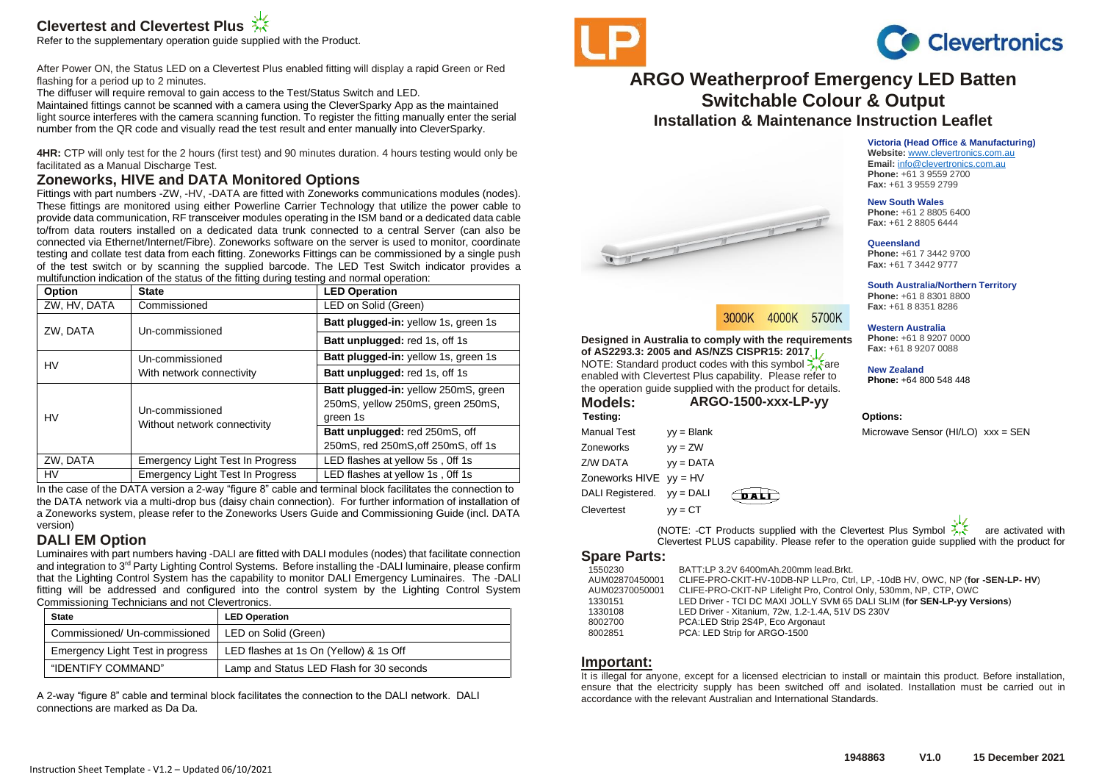# **Clevertest and Clevertest Plus**

Refer to the supplementary operation guide supplied with the Product.

After Power ON, the Status LED on a Clevertest Plus enabled fitting will display a rapid Green or Red flashing for a period up to 2 minutes.

The diffuser will require removal to gain access to the Test/Status Switch and LED.

Maintained fittings cannot be scanned with a camera using the CleverSparky App as the maintained light source interferes with the camera scanning function. To register the fitting manually enter the serial number from the QR code and visually read the test result and enter manually into CleverSparky.

**4HR:** CTP will only test for the 2 hours (first test) and 90 minutes duration. 4 hours testing would only be facilitated as a Manual Discharge Test.

# **Zoneworks, HIVE and DATA Monitored Options**

Fittings with part numbers -ZW, -HV, -DATA are fitted with Zoneworks communications modules (nodes). These fittings are monitored using either Powerline Carrier Technology that utilize the power cable to provide data communication, RF transceiver modules operating in the ISM band or a dedicated data cable to/from data routers installed on a dedicated data trunk connected to a central Server (can also be connected via Ethernet/Internet/Fibre). Zoneworks software on the server is used to monitor, coordinate testing and collate test data from each fitting. Zoneworks Fittings can be commissioned by a single push of the test switch or by scanning the supplied barcode. The LED Test Switch indicator provides a multifunction indication of the status of the fitting during testing and normal operation:

| Option       | <b>State</b>                                    | <b>LED Operation</b>                 |
|--------------|-------------------------------------------------|--------------------------------------|
| ZW, HV, DATA | Commissioned                                    | LED on Solid (Green)                 |
| ZW, DATA     | Un-commissioned                                 | Batt plugged-in: yellow 1s, green 1s |
|              |                                                 | Batt unplugged: red 1s, off 1s       |
| HV           | Un-commissioned                                 | Batt plugged-in: yellow 1s, green 1s |
|              | With network connectivity                       | Batt unplugged: red 1s, off 1s       |
| HV           | Un-commissioned<br>Without network connectivity | Batt plugged-in: yellow 250mS, green |
|              |                                                 | 250mS, yellow 250mS, green 250mS,    |
|              |                                                 | green 1s                             |
|              |                                                 | Batt unplugged: red 250mS, off       |
|              |                                                 | 250mS, red 250mS, off 250mS, off 1s  |
| ZW, DATA     | <b>Emergency Light Test In Progress</b>         | LED flashes at yellow 5s, Off 1s     |
| HV           | <b>Emergency Light Test In Progress</b>         | LED flashes at yellow 1s, Off 1s     |

In the case of the DATA version a 2-way "figure 8" cable and terminal block facilitates the connection to the DATA network via a multi-drop bus (daisy chain connection). For further information of installation of a Zoneworks system, please refer to the Zoneworks Users Guide and Commissioning Guide (incl. DATA version)

# **DALI EM Option**

Luminaires with part numbers having -DALI are fitted with DALI modules (nodes) that facilitate connection and integration to 3<sup>rd</sup> Party Lighting Control Systems. Before installing the -DALI luminaire, please confirm that the Lighting Control System has the capability to monitor DALI Emergency Luminaires. The -DALI fitting will be addressed and configured into the control system by the Lighting Control System Commissioning Technicians and not Clevertronics.

| <b>State</b>                                         | <b>LED Operation</b>                     |
|------------------------------------------------------|------------------------------------------|
| Commissioned/ Un-commissioned   LED on Solid (Green) |                                          |
| Emergency Light Test in progress                     | LED flashes at 1s On (Yellow) & 1s Off   |
| "IDENTIFY COMMAND"                                   | Lamp and Status LED Flash for 30 seconds |

A 2-way "figure 8" cable and terminal block facilitates the connection to the DALI network. DALI connections are marked as Da Da.





# **ARGO Weatherproof Emergency LED Batten Switchable Colour & Output Installation & Maintenance Instruction Leaflet**

4000K 5700K

**Victoria (Head Office & Manufacturing)**

**Website:** [www.clevertronics.com.au](http://www.clevertronics.com.au/) **Email:** info@clevertronics.com.au **Phone:** +61 3 9559 2700 **Fax:** +61 3 9559 2799

#### **New South Wales**

**Phone:** +61 2 8805 6400 **Fax:** +61 2 8805 6444

#### **Queensland**

**Phone:** +61 7 3442 9700 **Fax:** +61 7 3442 9777

**South Australia/Northern Territory**

**Phone:** +61 8 8301 8800 **Fax:** +61 8 8351 8286

#### **Western Australia**

**Phone:** +61 8 9207 0000 **Fax:** +61 8 9207 0088

**New Zealand**

**Phone:** +64 800 548 448

**Testing: Options:**

Manual Test  $vy = Blank$  Microwave Sensor (HI/LO)  $xxx = SFN$ 

(NOTE: -CT Products supplied with the Clevertest Plus Symbol  $\sum_{i=1}^{\infty}$  are activated with Clevertest PLUS capability. Please refer to the operation guide supplied with the product for

### **Spare Parts:**

Zoneworks yy = ZW Z/W DATA yy = DATA Zoneworks  $HIVE$  yy =  $HV$ DALI Registered. vv = DALI  $C$  levertest  $vy = CT$ 

**Designed in Australia to comply with the requirements of AS2293.3: 2005 and AS/NZS CISPR15: 2017** NOTE: Standard product codes with this symbol  $\sum_{k=1}^{\infty}$  are enabled with Clevertest Plus capability. Please refer to the operation guide supplied with the product for details. **Models: ARGO-1500-xxx-LP-yy**

3000K

**OALE** 

The former of the contract of

| 1550230        | BATT:LP 3.2V 6400mAh.200mm lead.Brkt.                                         |
|----------------|-------------------------------------------------------------------------------|
| AUM02870450001 | CLIFE-PRO-CKIT-HV-10DB-NP LLPro, Ctrl, LP, -10dB HV, OWC, NP (for -SEN-LP-HV) |
| AUM02370050001 | CLIFE-PRO-CKIT-NP Lifelight Pro, Control Only, 530mm, NP, CTP, OWC            |
| 1330151        | LED Driver - TCI DC MAXI JOLLY SVM 65 DALI SLIM (for SEN-LP-yy Versions)      |
| 1330108        | LED Driver - Xitanium, 72w, 1.2-1.4A, 51V DS 230V                             |
| 8002700        | PCA:LED Strip 2S4P, Eco Argonaut                                              |
| 8002851        | PCA: LED Strip for ARGO-1500                                                  |

### **Important:**

It is illegal for anyone, except for a licensed electrician to install or maintain this product. Before installation, ensure that the electricity supply has been switched off and isolated. Installation must be carried out in accordance with the relevant Australian and International Standards.